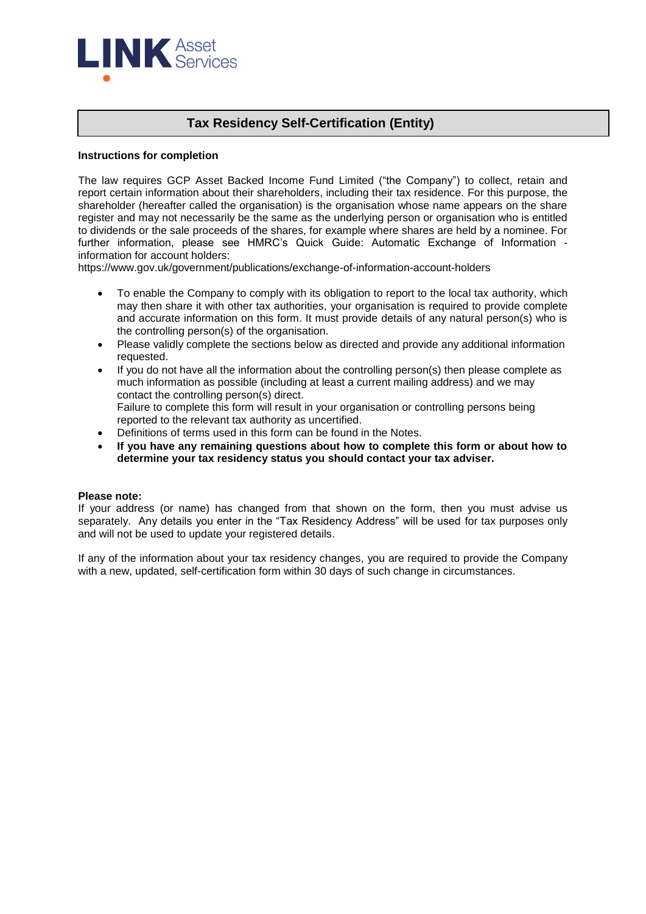

# **Tax Residency Self-Certification (Entity)**

## **Instructions for completion**

The law requires GCP Asset Backed Income Fund Limited ("the Company") to collect, retain and report certain information about their shareholders, including their tax residence. For this purpose, the shareholder (hereafter called the organisation) is the organisation whose name appears on the share register and may not necessarily be the same as the underlying person or organisation who is entitled to dividends or the sale proceeds of the shares, for example where shares are held by a nominee. For further information, please see HMRC's Quick Guide: Automatic Exchange of Information information for account holders:

<https://www.gov.uk/government/publications/exchange-of-information-account-holders>

- To enable the Company to comply with its obligation to report to the local tax authority, which may then share it with other tax authorities, your organisation is required to provide complete and accurate information on this form. It must provide details of any natural person(s) who is the controlling person(s) of the organisation.
- Please validly complete the sections below as directed and provide any additional information requested.
- If you do not have all the information about the controlling person(s) then please complete as much information as possible (including at least a current mailing address) and we may contact the controlling person(s) direct. Failure to complete this form will result in your organisation or controlling persons being
- reported to the relevant tax authority as uncertified.
- Definitions of terms used in this form can be found in the Notes.
- **If you have any remaining questions about how to complete this form or about how to determine your tax residency status you should contact your tax adviser.**

## **Please note:**

If your address (or name) has changed from that shown on the form, then you must advise us separately. Any details you enter in the "Tax Residency Address" will be used for tax purposes only and will not be used to update your registered details.

If any of the information about your tax residency changes, you are required to provide the Company with a new, updated, self-certification form within 30 days of such change in circumstances.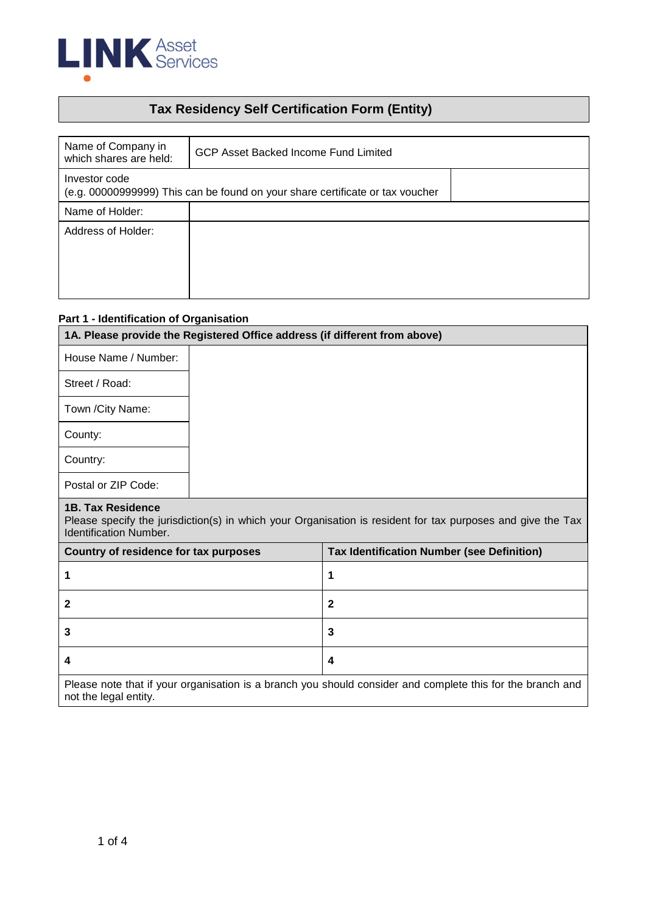

# **Tax Residency Self Certification Form (Entity)**

| Name of Company in<br>which shares are held: | <b>GCP Asset Backed Income Fund Limited</b>                                   |  |  |  |
|----------------------------------------------|-------------------------------------------------------------------------------|--|--|--|
| Investor code                                | (e.g. 00000999999) This can be found on your share certificate or tax voucher |  |  |  |
| Name of Holder:                              |                                                                               |  |  |  |
| Address of Holder:                           |                                                                               |  |  |  |
|                                              |                                                                               |  |  |  |

## **Part 1 - Identification of Organisation**

| 1A. Please provide the Registered Office address (if different from above) |  |  |  |
|----------------------------------------------------------------------------|--|--|--|
| House Name / Number:                                                       |  |  |  |
| Street / Road:                                                             |  |  |  |
| Town / City Name:                                                          |  |  |  |
| County:                                                                    |  |  |  |
| Country:                                                                   |  |  |  |
| Postal or ZIP Code:                                                        |  |  |  |

## **1B. Tax Residence**

Please specify the jurisdiction(s) in which your Organisation is resident for tax purposes and give the Tax Identification Number.

| Country of residence for tax purposes | <b>Tax Identification Number (see Definition)</b> |
|---------------------------------------|---------------------------------------------------|
|                                       |                                                   |
|                                       | 2                                                 |
|                                       | 3                                                 |
|                                       | 4                                                 |

Please note that if your organisation is a branch you should consider and complete this for the branch and not the legal entity.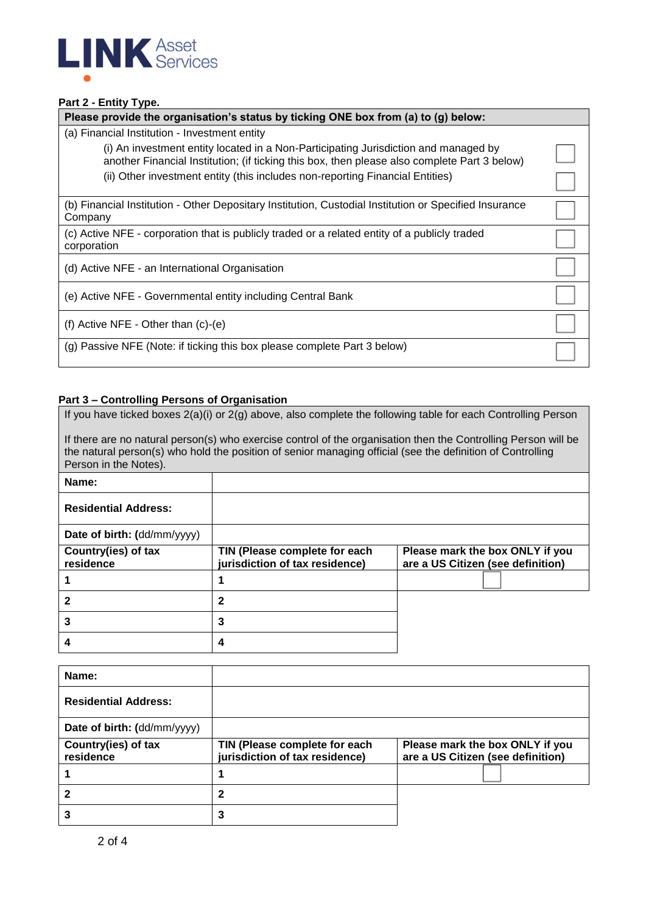

## **Part 2 - Entity Type.**

| Please provide the organisation's status by ticking ONE box from (a) to (g) below:                                                                                                  |  |  |
|-------------------------------------------------------------------------------------------------------------------------------------------------------------------------------------|--|--|
| (a) Financial Institution - Investment entity                                                                                                                                       |  |  |
| (i) An investment entity located in a Non-Participating Jurisdiction and managed by<br>another Financial Institution; (if ticking this box, then please also complete Part 3 below) |  |  |
| (ii) Other investment entity (this includes non-reporting Financial Entities)                                                                                                       |  |  |
| (b) Financial Institution - Other Depositary Institution, Custodial Institution or Specified Insurance<br>Company                                                                   |  |  |
| (c) Active NFE - corporation that is publicly traded or a related entity of a publicly traded<br>corporation                                                                        |  |  |
| (d) Active NFE - an International Organisation                                                                                                                                      |  |  |
| (e) Active NFE - Governmental entity including Central Bank                                                                                                                         |  |  |
| (f) Active NFE - Other than $(c)-(e)$                                                                                                                                               |  |  |
| (g) Passive NFE (Note: if ticking this box please complete Part 3 below)                                                                                                            |  |  |

## **Part 3 – Controlling Persons of Organisation**

If you have ticked boxes 2(a)(i) or 2(g) above, also complete the following table for each Controlling Person

If there are no natural person(s) who exercise control of the organisation then the Controlling Person will be the natural person(s) who hold the position of senior managing official (see the definition of Controlling Person in the Notes).

| Name:                            |                                                                 |                                                                      |
|----------------------------------|-----------------------------------------------------------------|----------------------------------------------------------------------|
| <b>Residential Address:</b>      |                                                                 |                                                                      |
| Date of birth: (dd/mm/yyyy)      |                                                                 |                                                                      |
| Country(ies) of tax<br>residence | TIN (Please complete for each<br>jurisdiction of tax residence) | Please mark the box ONLY if you<br>are a US Citizen (see definition) |
|                                  |                                                                 |                                                                      |
|                                  | 2                                                               |                                                                      |
|                                  | 3                                                               |                                                                      |
|                                  |                                                                 |                                                                      |

| Name:                            |                                                                 |                                                                      |
|----------------------------------|-----------------------------------------------------------------|----------------------------------------------------------------------|
| <b>Residential Address:</b>      |                                                                 |                                                                      |
| Date of birth: (dd/mm/yyyy)      |                                                                 |                                                                      |
| Country(ies) of tax<br>residence | TIN (Please complete for each<br>jurisdiction of tax residence) | Please mark the box ONLY if you<br>are a US Citizen (see definition) |
|                                  |                                                                 |                                                                      |
|                                  |                                                                 |                                                                      |
|                                  | 3                                                               |                                                                      |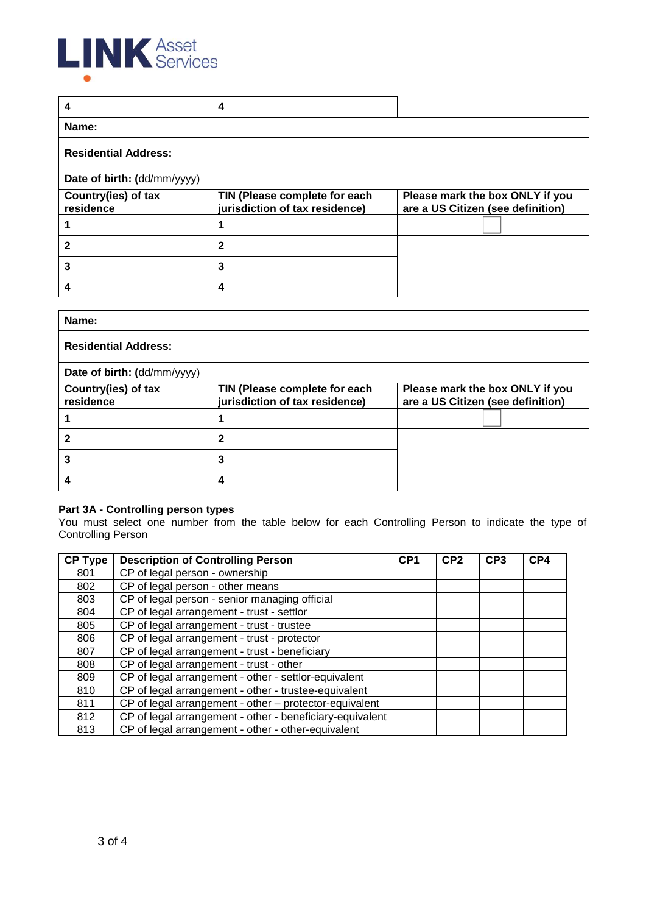

| 4                                | 4                                                               |                                                                      |
|----------------------------------|-----------------------------------------------------------------|----------------------------------------------------------------------|
| Name:                            |                                                                 |                                                                      |
| <b>Residential Address:</b>      |                                                                 |                                                                      |
| Date of birth: (dd/mm/yyyy)      |                                                                 |                                                                      |
| Country(ies) of tax<br>residence | TIN (Please complete for each<br>jurisdiction of tax residence) | Please mark the box ONLY if you<br>are a US Citizen (see definition) |
|                                  |                                                                 |                                                                      |
| 2                                | $\mathbf 2$                                                     |                                                                      |
| 3                                | 3                                                               |                                                                      |
|                                  | 4                                                               |                                                                      |

| Name:                            |                                                                 |                                                                      |
|----------------------------------|-----------------------------------------------------------------|----------------------------------------------------------------------|
| <b>Residential Address:</b>      |                                                                 |                                                                      |
| Date of birth: (dd/mm/yyyy)      |                                                                 |                                                                      |
| Country(ies) of tax<br>residence | TIN (Please complete for each<br>jurisdiction of tax residence) | Please mark the box ONLY if you<br>are a US Citizen (see definition) |
|                                  |                                                                 |                                                                      |
| 2                                | 2                                                               |                                                                      |
| 3                                | 3                                                               |                                                                      |
|                                  | 4                                                               |                                                                      |

## **Part 3A - Controlling person types**

You must select one number from the table below for each Controlling Person to indicate the type of Controlling Person

| <b>CP Type</b> | <b>Description of Controlling Person</b>                 | CP <sub>1</sub> | CP <sub>2</sub> | CP <sub>3</sub> | CP4 |
|----------------|----------------------------------------------------------|-----------------|-----------------|-----------------|-----|
| 801            | CP of legal person - ownership                           |                 |                 |                 |     |
| 802            | CP of legal person - other means                         |                 |                 |                 |     |
| 803            | CP of legal person - senior managing official            |                 |                 |                 |     |
| 804            | CP of legal arrangement - trust - settlor                |                 |                 |                 |     |
| 805            | CP of legal arrangement - trust - trustee                |                 |                 |                 |     |
| 806            | CP of legal arrangement - trust - protector              |                 |                 |                 |     |
| 807            | CP of legal arrangement - trust - beneficiary            |                 |                 |                 |     |
| 808            | CP of legal arrangement - trust - other                  |                 |                 |                 |     |
| 809            | CP of legal arrangement - other - settlor-equivalent     |                 |                 |                 |     |
| 810            | CP of legal arrangement - other - trustee-equivalent     |                 |                 |                 |     |
| 811            | CP of legal arrangement - other - protector-equivalent   |                 |                 |                 |     |
| 812            | CP of legal arrangement - other - beneficiary-equivalent |                 |                 |                 |     |
| 813            | CP of legal arrangement - other - other-equivalent       |                 |                 |                 |     |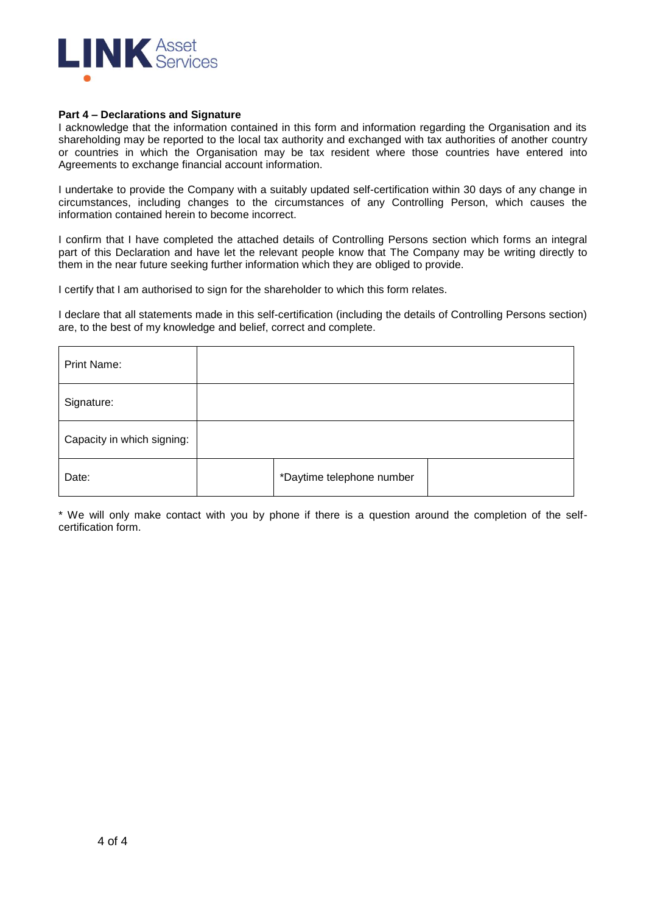

## **Part 4 – Declarations and Signature**

I acknowledge that the information contained in this form and information regarding the Organisation and its shareholding may be reported to the local tax authority and exchanged with tax authorities of another country or countries in which the Organisation may be tax resident where those countries have entered into Agreements to exchange financial account information.

I undertake to provide the Company with a suitably updated self-certification within 30 days of any change in circumstances, including changes to the circumstances of any Controlling Person, which causes the information contained herein to become incorrect.

I confirm that I have completed the attached details of Controlling Persons section which forms an integral part of this Declaration and have let the relevant people know that The Company may be writing directly to them in the near future seeking further information which they are obliged to provide.

I certify that I am authorised to sign for the shareholder to which this form relates.

I declare that all statements made in this self-certification (including the details of Controlling Persons section) are, to the best of my knowledge and belief, correct and complete.

| Print Name:                |                           |  |
|----------------------------|---------------------------|--|
| Signature:                 |                           |  |
| Capacity in which signing: |                           |  |
| Date:                      | *Daytime telephone number |  |

\* We will only make contact with you by phone if there is a question around the completion of the selfcertification form.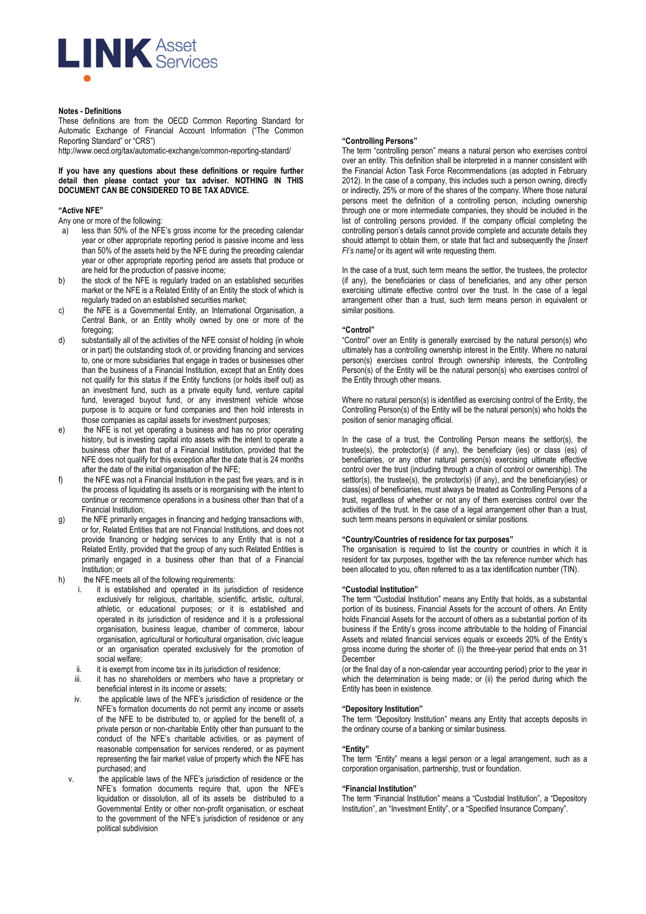

### **Notes - Definitions**

These definitions are from the OECD Common Reporting Standard for Automatic Exchange of Financial Account Information ("The Common Reporting Standard" or "CRS")

<http://www.oecd.org/tax/automatic-exchange/common-reporting-standard/>

### **If you have any questions about these definitions or require further detail then please contact your tax adviser. NOTHING IN THIS DOCUMENT CAN BE CONSIDERED TO BE TAX ADVICE.**

### **"Active NFE"**

Any one or more of the following:

- a) less than 50% of the NFE's gross income for the preceding calendar year or other appropriate reporting period is passive income and less than 50% of the assets held by the NFE during the preceding calendar year or other appropriate reporting period are assets that produce or are held for the production of passive income;
- b) the stock of the NFE is regularly traded on an established securities market or the NFE is a Related Entity of an Entity the stock of which is regularly traded on an established securities market;
- c) the NFE is a Governmental Entity, an International Organisation, a Central Bank, or an Entity wholly owned by one or more of the foregoing:
- d) substantially all of the activities of the NFE consist of holding (in whole or in part) the outstanding stock of, or providing financing and services to, one or more subsidiaries that engage in trades or businesses other than the business of a Financial Institution, except that an Entity does not qualify for this status if the Entity functions (or holds itself out) as an investment fund, such as a private equity fund, venture capital fund, leveraged buyout fund, or any investment vehicle whose purpose is to acquire or fund companies and then hold interests in those companies as capital assets for investment purposes;
- e) the NFE is not yet operating a business and has no prior operating history, but is investing capital into assets with the intent to operate a business other than that of a Financial Institution, provided that the NFE does not qualify for this exception after the date that is 24 months after the date of the initial organisation of the NFE;
- f) the NFE was not a Financial Institution in the past five years, and is in the process of liquidating its assets or is reorganising with the intent to continue or recommence operations in a business other than that of a Financial Institution;
- g) the NFE primarily engages in financing and hedging transactions with, or for, Related Entities that are not Financial Institutions, and does not provide financing or hedging services to any Entity that is not a Related Entity, provided that the group of any such Related Entities is primarily engaged in a business other than that of a Financial Institution; or
- h) the NFE meets all of the following requirements:<br>i it is established and operated in its juris
	- it is established and operated in its jurisdiction of residence exclusively for religious, charitable, scientific, artistic, cultural, athletic, or educational purposes; or it is established and operated in its jurisdiction of residence and it is a professional organisation, business league, chamber of commerce, labour organisation, agricultural or horticultural organisation, civic league or an organisation operated exclusively for the promotion of social welfare;
	- ii. it is exempt from income tax in its jurisdiction of residence;
	- iii. it has no shareholders or members who have a proprietary or beneficial interest in its income or assets;
	- iv. the applicable laws of the NFE's jurisdiction of residence or the NFE's formation documents do not permit any income or assets of the NFE to be distributed to, or applied for the benefit of, a private person or non-charitable Entity other than pursuant to the conduct of the NFE's charitable activities, or as payment of reasonable compensation for services rendered, or as payment representing the fair market value of property which the NFE has purchased; and
	- v. the applicable laws of the NFE's jurisdiction of residence or the NFE's formation documents require that, upon the NFE's liquidation or dissolution, all of its assets be distributed to a Governmental Entity or other non-profit organisation, or escheat to the government of the NFE's jurisdiction of residence or any political subdivision

## **"Controlling Persons"**

The term "controlling person" means a natural person who exercises control over an entity. This definition shall be interpreted in a manner consistent with the Financial Action Task Force Recommendations (as adopted in February 2012). In the case of a company, this includes such a person owning, directly or indirectly, 25% or more of the shares of the company. Where those natural persons meet the definition of a controlling person, including ownership through one or more intermediate companies, they should be included in the list of controlling persons provided. If the company official completing the controlling person's details cannot provide complete and accurate details they should attempt to obtain them, or state that fact and subsequently the *[insert FI's name]* or its agent will write requesting them.

In the case of a trust, such term means the settlor, the trustees, the protector (if any), the beneficiaries or class of beneficiaries, and any other person exercising ultimate effective control over the trust. In the case of a legal arrangement other than a trust, such term means person in equivalent or similar positions.

#### **"Control"**

"Control" over an Entity is generally exercised by the natural person(s) who ultimately has a controlling ownership interest in the Entity. Where no natural person(s) exercises control through ownership interests, the Controlling Person(s) of the Entity will be the natural person(s) who exercises control of the Entity through other means.

Where no natural person(s) is identified as exercising control of the Entity, the Controlling Person(s) of the Entity will be the natural person(s) who holds the position of senior managing official.

In the case of a trust, the Controlling Person means the settlor(s), the trustee(s), the protector(s) (if any), the beneficiary (ies) or class (es) of beneficiaries, or any other natural person(s) exercising ultimate effective control over the trust (including through a chain of control or ownership). The settlor(s), the trustee(s), the protector(s) (if any), and the beneficiary(ies) or class(es) of beneficiaries, must always be treated as Controlling Persons of a trust, regardless of whether or not any of them exercises control over the activities of the trust. In the case of a legal arrangement other than a trust, such term means persons in equivalent or similar positions.

## **"Country/Countries of residence for tax purposes"**

The organisation is required to list the country or countries in which it is resident for tax purposes, together with the tax reference number which has been allocated to you, often referred to as a tax identification number (TIN).

#### **"Custodial Institution"**

The term "Custodial Institution" means any Entity that holds, as a substantial portion of its business, Financial Assets for the account of others. An Entity holds Financial Assets for the account of others as a substantial portion of its business if the Entity's gross income attributable to the holding of Financial Assets and related financial services equals or exceeds 20% of the Entity's gross income during the shorter of: (i) the three-year period that ends on 31 December

(or the final day of a non-calendar year accounting period) prior to the year in which the determination is being made; or (ii) the period during which the Entity has been in existence.

### **"Depository Institution"**

The term "Depository Institution" means any Entity that accepts deposits in the ordinary course of a banking or similar business.

#### **"Entity"**

The term "Entity" means a legal person or a legal arrangement, such as a corporation organisation, partnership, trust or foundation.

## **"Financial Institution"**

The term "Financial Institution" means a "Custodial Institution", a "Depository Institution", an "Investment Entity", or a "Specified Insurance Company".